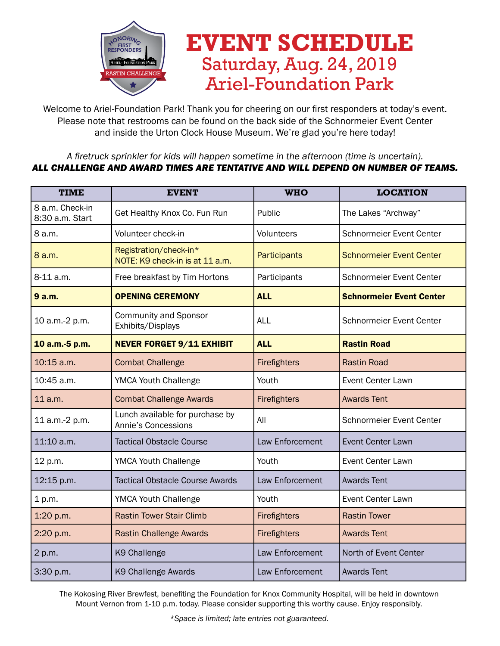

## **EVENT SCHEDULE** Saturday, Aug. 24, 2019 Ariel-Foundation Park

Welcome to Ariel-Foundation Park! Thank you for cheering on our first responders at today's event. Please note that restrooms can be found on the back side of the Schnormeier Event Center and inside the Urton Clock House Museum. We're glad you're here today!

## *A firetruck sprinkler for kids will happen sometime in the afternoon (time is uncertain). ALL CHALLENGE AND AWARD TIMES ARE TENTATIVE AND WILL DEPEND ON NUMBER OF TEAMS.*

| <b>TIME</b>                        | <b>EVENT</b>                                              | <b>WHO</b>      | <b>LOCATION</b>                 |
|------------------------------------|-----------------------------------------------------------|-----------------|---------------------------------|
| 8 a.m. Check-in<br>8:30 a.m. Start | Get Healthy Knox Co. Fun Run                              | Public          | The Lakes "Archway"             |
| 8 a.m.                             | Volunteer check-in                                        | Volunteers      | <b>Schnormeier Event Center</b> |
| 8 a.m.                             | Registration/check-in*<br>NOTE: K9 check-in is at 11 a.m. | Participants    | <b>Schnormeier Event Center</b> |
| 8-11 a.m.                          | Free breakfast by Tim Hortons                             | Participants    | <b>Schnormeier Event Center</b> |
| 9 a.m.                             | <b>OPENING CEREMONY</b>                                   | <b>ALL</b>      | <b>Schnormeier Event Center</b> |
| 10 a.m.-2 p.m.                     | <b>Community and Sponsor</b><br>Exhibits/Displays         | <b>ALL</b>      | <b>Schnormeier Event Center</b> |
| 10 a.m.-5 p.m.                     | <b>NEVER FORGET 9/11 EXHIBIT</b>                          | <b>ALL</b>      | <b>Rastin Road</b>              |
| 10:15 a.m.                         | <b>Combat Challenge</b>                                   | Firefighters    | <b>Rastin Road</b>              |
| 10:45 a.m.                         | <b>YMCA Youth Challenge</b>                               | Youth           | Event Center Lawn               |
| 11 a.m.                            | <b>Combat Challenge Awards</b>                            | Firefighters    | <b>Awards Tent</b>              |
| 11 a.m.-2 p.m.                     | Lunch available for purchase by<br>Annie's Concessions    | All             | Schnormeier Event Center        |
| 11:10 a.m.                         | <b>Tactical Obstacle Course</b>                           | Law Enforcement | Event Center Lawn               |
| 12 p.m.                            | <b>YMCA Youth Challenge</b>                               | Youth           | <b>Event Center Lawn</b>        |
| 12:15 p.m.                         | <b>Tactical Obstacle Course Awards</b>                    | Law Enforcement | <b>Awards Tent</b>              |
| 1 p.m.                             | <b>YMCA Youth Challenge</b>                               | Youth           | <b>Event Center Lawn</b>        |
| 1:20 p.m.                          | <b>Rastin Tower Stair Climb</b>                           | Firefighters    | <b>Rastin Tower</b>             |
| 2:20 p.m.                          | <b>Rastin Challenge Awards</b>                            | Firefighters    | <b>Awards Tent</b>              |
| 2 p.m.                             | K9 Challenge                                              | Law Enforcement | North of Event Center           |
| 3:30 p.m.                          | K9 Challenge Awards                                       | Law Enforcement | <b>Awards Tent</b>              |

The Kokosing River Brewfest, benefiting the Foundation for Knox Community Hospital, will be held in downtown Mount Vernon from 1-10 p.m. today. Please consider supporting this worthy cause. Enjoy responsibly.